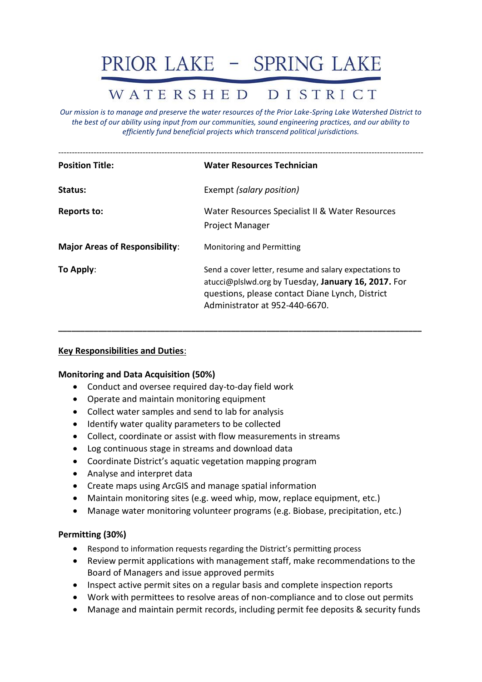# PRIOR LAKE - SPRING LAKE

# WATERSHED DISTRICT

*Our mission is to manage and preserve the water resources of the Prior Lake-Spring Lake Watershed District to the best of our ability using input from our communities, sound engineering practices, and our ability to efficiently fund beneficial projects which transcend political jurisdictions.*

| <b>Position Title:</b>                | <b>Water Resources Technician</b>                                                                                                                                                                  |
|---------------------------------------|----------------------------------------------------------------------------------------------------------------------------------------------------------------------------------------------------|
| Status:                               | Exempt (salary position)                                                                                                                                                                           |
| <b>Reports to:</b>                    | Water Resources Specialist II & Water Resources<br><b>Project Manager</b>                                                                                                                          |
| <b>Major Areas of Responsibility:</b> | <b>Monitoring and Permitting</b>                                                                                                                                                                   |
| To Apply:                             | Send a cover letter, resume and salary expectations to<br>atucci@plslwd.org by Tuesday, January 16, 2017. For<br>questions, please contact Diane Lynch, District<br>Administrator at 952-440-6670. |

**\_\_\_\_\_\_\_\_\_\_\_\_\_\_\_\_\_\_\_\_\_\_\_\_\_\_\_\_\_\_\_\_\_\_\_\_\_\_\_\_\_\_\_\_\_\_\_\_\_\_\_\_\_\_\_\_\_\_\_\_\_\_\_\_\_\_\_\_\_\_\_\_\_\_\_\_\_\_\_\_\_\_**

#### **Key Responsibilities and Duties**:

#### **Monitoring and Data Acquisition (50%)**

- Conduct and oversee required day-to-day field work
- Operate and maintain monitoring equipment
- Collect water samples and send to lab for analysis
- Identify water quality parameters to be collected
- Collect, coordinate or assist with flow measurements in streams
- Log continuous stage in streams and download data
- Coordinate District's aquatic vegetation mapping program
- Analyse and interpret data
- Create maps using ArcGIS and manage spatial information
- Maintain monitoring sites (e.g. weed whip, mow, replace equipment, etc.)
- Manage water monitoring volunteer programs (e.g. Biobase, precipitation, etc.)

#### **Permitting (30%)**

- Respond to information requests regarding the District's permitting process
- Review permit applications with management staff, make recommendations to the Board of Managers and issue approved permits
- Inspect active permit sites on a regular basis and complete inspection reports
- Work with permittees to resolve areas of non-compliance and to close out permits
- Manage and maintain permit records, including permit fee deposits & security funds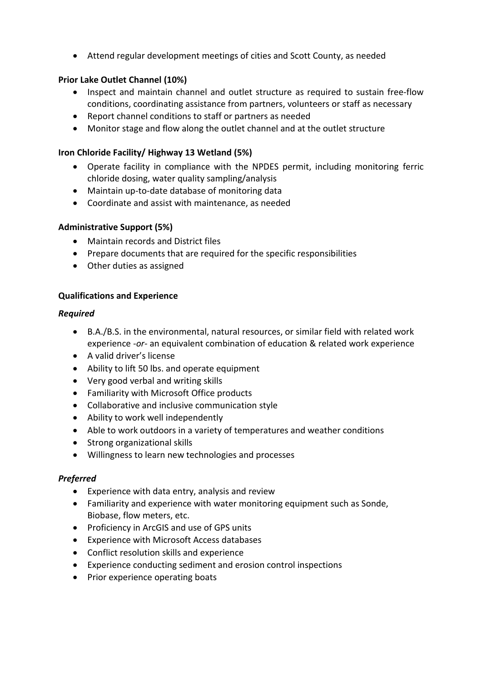• Attend regular development meetings of cities and Scott County, as needed

# **Prior Lake Outlet Channel (10%)**

- Inspect and maintain channel and outlet structure as required to sustain free-flow conditions, coordinating assistance from partners, volunteers or staff as necessary
- Report channel conditions to staff or partners as needed
- Monitor stage and flow along the outlet channel and at the outlet structure

# **Iron Chloride Facility/ Highway 13 Wetland (5%)**

- Operate facility in compliance with the NPDES permit, including monitoring ferric chloride dosing, water quality sampling/analysis
- Maintain up-to-date database of monitoring data
- Coordinate and assist with maintenance, as needed

## **Administrative Support (5%)**

- Maintain records and District files
- Prepare documents that are required for the specific responsibilities
- Other duties as assigned

## **Qualifications and Experience**

#### *Required*

- B.A./B.S. in the environmental, natural resources, or similar field with related work experience *-or-* an equivalent combination of education & related work experience
- A valid driver's license
- Ability to lift 50 lbs. and operate equipment
- Very good verbal and writing skills
- Familiarity with Microsoft Office products
- Collaborative and inclusive communication style
- Ability to work well independently
- Able to work outdoors in a variety of temperatures and weather conditions
- Strong organizational skills
- Willingness to learn new technologies and processes

## *Preferred*

- Experience with data entry, analysis and review
- Familiarity and experience with water monitoring equipment such as Sonde, Biobase, flow meters, etc.
- Proficiency in ArcGIS and use of GPS units
- Experience with Microsoft Access databases
- Conflict resolution skills and experience
- Experience conducting sediment and erosion control inspections
- Prior experience operating boats